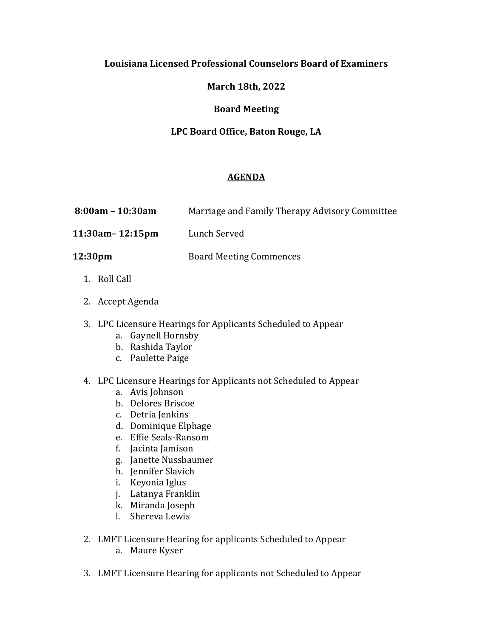## **Louisiana Licensed Professional Counselors Board of Examiners**

# **March 18th, 2022**

### **Board Meeting**

## **LPC Board Office, Baton Rouge, LA**

## **AGENDA**

- **8:00am – 10:30am** Marriage and Family Therapy Advisory Committee
- **11:30am– 12:15pm** Lunch Served
- **12:30pm** Board Meeting Commences
	- 1. Roll Call
	- 2. Accept Agenda
	- 3. LPC Licensure Hearings for Applicants Scheduled to Appear
		- a. Gaynell Hornsby
		- b. Rashida Taylor
		- c. Paulette Paige
	- 4. LPC Licensure Hearings for Applicants not Scheduled to Appear
		- a. Avis Johnson
		- b. Delores Briscoe
		- c. Detria Jenkins
		- d. Dominique Elphage
		- e. Effie Seals-Ransom
		- f. Jacinta Jamison
		- g. Janette Nussbaumer
		- h. Jennifer Slavich
		- i. Keyonia Iglus
		- j. Latanya Franklin
		- k. Miranda Joseph
		- l. Shereva Lewis
	- 2. LMFT Licensure Hearing for applicants Scheduled to Appear
		- a. Maure Kyser
	- 3. LMFT Licensure Hearing for applicants not Scheduled to Appear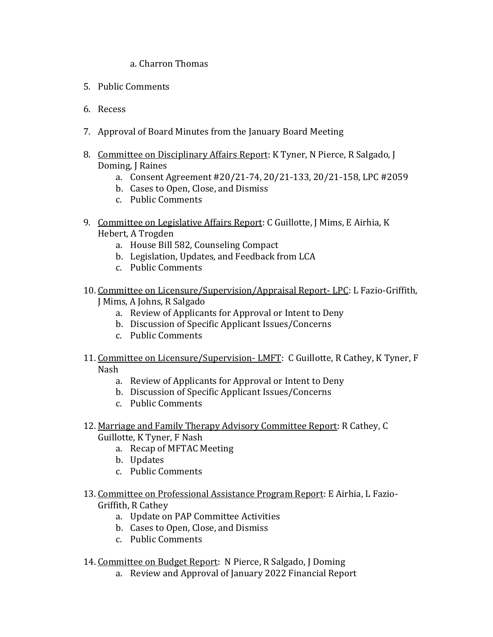### a. Charron Thomas

- 5. Public Comments
- 6. Recess
- 7. Approval of Board Minutes from the January Board Meeting
- 8. Committee on Disciplinary Affairs Report: K Tyner, N Pierce, R Salgado, J Doming, J Raines
	- a. Consent Agreement #20/21-74, 20/21-133, 20/21-158, LPC #2059
	- b. Cases to Open, Close, and Dismiss
	- c. Public Comments
- 9. Committee on Legislative Affairs Report: C Guillotte, J Mims, E Airhia, K Hebert, A Trogden
	- a. House Bill 582, Counseling Compact
	- b. Legislation, Updates, and Feedback from LCA
	- c. Public Comments
- 10. Committee on Licensure/Supervision/Appraisal Report- LPC: L Fazio-Griffith,
	- J Mims, A Johns, R Salgado
		- a. Review of Applicants for Approval or Intent to Deny
		- b. Discussion of Specific Applicant Issues/Concerns
		- c. Public Comments
- 11. Committee on Licensure/Supervision-LMFT: C Guillotte, R Cathey, K Tyner, F Nash
	- a. Review of Applicants for Approval or Intent to Deny
	- b. Discussion of Specific Applicant Issues/Concerns
	- c. Public Comments
- 12. Marriage and Family Therapy Advisory Committee Report: R Cathey, C Guillotte, K Tyner, F Nash
	- a. Recap of MFTAC Meeting
	- b. Updates
	- c. Public Comments
- 13. Committee on Professional Assistance Program Report: E Airhia, L Fazio-Griffith, R Cathey
	- a. Update on PAP Committee Activities
	- b. Cases to Open, Close, and Dismiss
	- c. Public Comments
- 14. Committee on Budget Report: N Pierce, R Salgado, J Doming
	- a. Review and Approval of January 2022 Financial Report